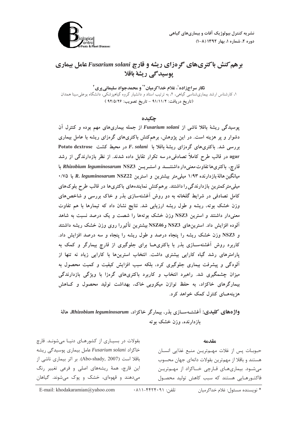

# **برهم کنش باکتریهای گردزای ریشه و قارچ Fusarium solani عامل بیماری يوسيدگي ريشة باقلا**

نگار سراجزاده<sup>'</sup>، غلام خداک میان <sup>۲۴</sup> و محمدحواد سلیمانی بری <sup>۲</sup> ۰ کارشناس ارشد بیماری شناسی گیاهی، ۲، به ترتیب استاد و دانشیار گروه گیاهیزشکی، دانشگاه بوعله سینا همدان<br>۱، کارشناس ارشد بیماری شناسی گیاهی، ۲، به ترتیب استاد و دانشیار گروه گیاهیزشکی، دانشگاه بوعله سینا همدان (تاریخ دریافت: ۹۱/۱۱/۲ – تاریخ تصویب: ۹۲/۵/۲۶ )

## **حكىدە**

بوسیدگی ریشهٔ باقلا ناشی از Fusarium solani از جمله بیماریهای مهم بوده و کنترل آن دشوار و به هزینه است. در آبن بژوهش ، برهمکنش باکتری های گروزای ریشه با عامل بیماری **بررسی شد. باکتریهای گرهزای ریشهٔ باقلا با F. solani در محیط کشت Potato dextrose agar در قالب طرح کاملاً تصادفی در سه تکرار تقابل داده شدند. از نظر بازدارندگی از رشد** .<br>فارچ، باکتریها تفاوت معنی دار داشتنــــــــد و استـــر یــــن Rhizobium leguminosarum NSZ3 با میانگین هالهٔ بازدارنده ۱/۹۳ میلی متر بیشترین و استرین R. *leguminosarum* NSZ22 با ۰/۷۵ میلر مترکهترین بازدارندگی را داشتند. بر همکنش نمایندههای باکتری ها در قالب طرح بله کرهای کامل تصادفی در شرایط گلخانه به دو روش آغشتهسازی بذر و خاک بررسه و شاخص های ، زن خشک بوته، ریشه و طول ریشه ارزبایی شد. نتایج نشان داد که تیمارها با هم تفاوت معنیدار داشتند و استرین NSZ3 وزن خشک بوتهها را شصت و یک درصد نسبت به شاهد آلوده افزایش داد. استرین۵لق NSZ3 وNSZ46 بیشترین تأثیررا روی وزن خشک ریشه داشتند و NSZ3 وزن خشک ریشه را ینجاه درصد و طول ریشه را ینجاه و سه درصد افزایش داد. کاربرد روش آغشتهسازی بذر با باکتری هیا برای حلوگیری از قارح بیمارگ و کمک به بارامترهای رشد گیاه کارایی بیشتری داشت. انتخاب استرینها با کارایی زیاد نه تنها از آلودگی و بیشرفت بیماری جلوگیری کرد، بلکه سبب افزایش کیفت و کمیت محصول به میزان حشمگیری شد. راهیرد انتخاب و کاربرد پاکتری های گروزا با ویژگ بازدارندگ سمارگرهای خاکزاد، به حفظ توازن میکرویی خاک، بهداشت تولید محصول و کیاهش ه: بنههــای کنترل کمک خواهد کرد.

واژههای کلیدی: آغشتـهســازی بذر، بیمارگر خاکزاد، Rhizobium leguminosarum، هالهٔ مازدارنده، وزن خشک به ته

#### **60500**

بقولات در بسیـاری از کشورهـای دنیـا میشونـد. قارچ خاکزاد Fusarium solani عامل بیماری یوسیدگی ریشه باقلا است (2007 ,Abo-shady). بر اثر بيماري ناشي از این قارچ، همهٔ ریشههای اصلی و فرعی تغییر رنگ میدهند و قهوهای، خشک و پوک میشوند. گیاهان

حبوبـات پس از غلات مهـمتريــن منبع غذايي انســان هستند و باقلا از مهمترین بقولات دانهای جهان محسوب می شود. بیماری های قارچی خـاکزاد از مهـم تریـن فاکتـورهـایی هستند که سبب کاهش تولید محصـول

\* نويسنده مسئول: غلام خداكرميان تلفن: ۴۴۲۴۰۹۱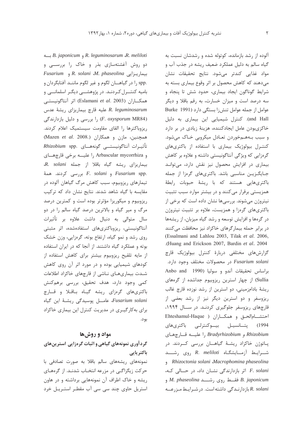B. japonicum و R. leguminosarum R. meliloti دو روش آغشتهسازی بذر و خاک را بررســی و Fusarium , R. solani M. phaseolina و Fusarium .spp را در گیاهـــان لگوم و غیر لگوم ماننــد آفتابگردان و بامیه کنتــرل کـردنـد. در پژوهشـــی دیگـر اسلمانـــی و همكاران (Eslamani et al. 2003) اثر آنتاگونيستبي R. leguminosarum عليه قارچ بيماريزاي ريشة عدس (F. oxysporum MR84) را بررسی و دلیل بازدارندگی ریزوباکترها را القای مقاومت سیستمیک اعلام کردند. همچنین، مازن و همکاران (Mazen et al. 2008.) تأثيرات آنتاگونيستــي گونههــاي .Rhizobium spp و Arbascular mycorrhiza ,ا علیــه برخی قارچهــای R. solani بیماریزای ریشه گیاه باقلا از جمله و F. solani بررسی کردند. همهٔ F. solani و F. solani تیمارهای ریزوبیوم، سبب کاهش مرگ گیاهان آلوده در مقایسه با گیاه شاهد شدند. نتایج نشان داد که ترکیب ریزوبیوم و میکوریزا مؤثرتر بوده است و کمترین درصد مرگ و میر گیاه و بالاترین درصد گیاه سالم را در دو سال متوالی به دنبال داشت علاوه بر تأثیرات آنتاگونیستی، ریزوباکتریهای استفادهشده، اثر مثبتی روی رشد و نمو گیاه، ارتفاع بوته، گرهزایی، وزن خشک بوته و عملکرد گیاه داشتند. از آنجا که در ایران استفاده از مایه تلقیح ریزوبیوم بیشتر برای کاهش استفاده از کودهای شیمیایی بوده و در مورد اثر آن روی کاهش شـدت بیماریهـای نـاشی از قارچهای خاکزاد اطلاعات کمی وجود دارد، هدف تحقیق، بررسی برهمکنش باکتریهای گرهزای ریشه گیاه باقلا و قارچ Fusarium solani، عامـــل پوسیدگی ریشــهٔ این گیاه برای به کارگیـری در مدیریت کنترل این بیماری خاکزاد بود.

## مواد و روشها

گردآوری نمونههای گیاهی و اثبات گرهزایی استرینهای باكتريايي

نمونههای ریشههای سالم باقلا به صورت تصادفی با حرکت زیگزاگی در مزرعه انتخـاب شدنـد. از گرههـای ریشه و خاک اطراف آن نمونههایی برداشته و در هاون استریل حاوی چند سی سی آب مقطـر استـریـل خرد

آلوده از رشد بازمانده، کوتوله شده و رشدشان نسبت به گياه سالم به دليل عملكرد ضعيف ريشه در جذب آب و مواد غذايي كندتر مي شود. نتايج تحقيقات نشان می دهند که کاهش محصول بر اثر وقوع بیماری بسته به شرایط گوناگون ایجاد بیماری، حدود شش تا پنجاه و سه درصد است و میزان خسارت، به رقم باقلا و دیگر عوامل از جمله عوامل تنش;ا بستگی دارد (Burke 1991 and Hall). کنترل شیمیایی این بیماری به دلیل خاکزیبودن عامل ایجادکننده، هزینهٔ زیادی در بر دارد و سبب بههـمخوردن تعـادل میکروبی خـاک میشود. کنترل بیولوژیک بیماری با استفاده از باکتریهای گرهزایی که ویژگی آنتاگونیستی داشته و علاوه بر کاهش بیماری در افزایش محصول نیز نقش دارد، میتواند جـایگـزیـن مناسبی باشد. باکتریهای گرهزا از جمله باکتریهایی هستند که با ریشهٔ حبوبات رابطهٔ همزیستی برقرار میکنند و در بیشتر موارد سبب تثبیت نیتروژن میشوند. بررسیها نشان داده است که برخی از باکتریهای گرهزا و همزیست، علاوه بر تثبیت نیتروژن در گرهها و افزایش توسعه و رشد گیاه میزبان، از ریشهها در برابر حمله بیمارگرهای خاکزاد نیز محافظت میکنند (Essalmani and Lahlou 2003, Tilak et al. 2006, .(Huang and Erickson 2007, Bardin et al. 2004 گزارشهای مختلفی دربارهٔ کنترل بیولوژیک قارچ Fusarium solani در محصولات مختلف وجود دارد. براساس تحقيقات آندو و سوليا (1990 Anbo and Sullia) از چهار استرین ریزوبیوم جداشده از گرههای ریشهٔ بادامزمینی، دو استرین از رشد نوزده قارچ غالب ریزوسفر و دو استرین دیگر نیز از رشد بعضی از قارچهای ریزوسفر جلوگیری کردنـد. در ســال ۱۹۹۴، احتشام الحتی و همکساران ( Ehteshamul-Haque 1994) پتـــانسيــل بيـــوكنترلــى باكترىھاى Rhizobium و Bradyrhizobium اعلیــه قسارچهای یاتوژن خاکزاد ریشهٔ گیاهان بررسی کردند. در شرایط آزمایشگاه R. meliloti روی رشــد Rhizoctonia solani Macrophomina phaseolina F. solani اثر بازدارندگی نشان داد، در حسالی که، B. japonicum فقــط روى رشـــد M. phaseolina و R. solani بازدارندگی داشته است. در شـرایـط مـزرعــه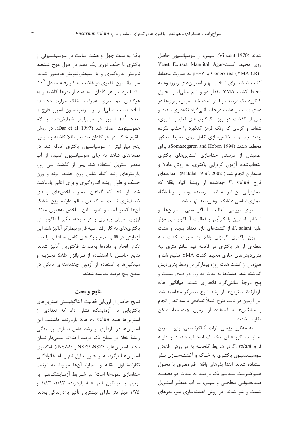باقلا به مدت چهل و هشت ساعت در سوسیانسیونی از باکتری با جذب نوری یک دهم در طول موج ششصد نانومتر اندازهگیری و با اسپکتروفتومتر غوطهور شدند. سوسیانسیون باکتری در غلضت به کار رفته معادل ۱۰<sup>۹</sup> CFU بود. در هر گلدان سه عدد از بذرها کاشته و به هرگلدان نیم لیتری، همراه با خاک حرارت دادهشده آماده بیست میلی لیتر از سوسیانسیون اسیور قارچ با تعداد ۱۰<sup>۶</sup> اسپور در میلیلیتر شمارششده با لام هموسيتومتر اضافه شد (Dar et al 1997). در روش تلقیح خاک، در هر گلدان سه بذر باقلا کاشته و سپس، پنج میلی لیتر از سوسپانسیون باکتری اضافه شد. در نمونههای شاهد به جای سوسپانسیون اسپور، از آب مقطر استریل استفاده شد. پس از گذشت سی روز، یارامترهای رشد گیاه شامل وزن خشک بوته و وزن خشک و طول ریشه اندازهگیری و برای آنالیز یادداشت شد. از آنجا که گیاهان بیمار شاخصهای رشدی ضعیفتری نسبت به گیاهان سالم دارند، وزن خشک آنها كمتر است و تفاوت اين شاخص بهعنوان ملاك ارزیابی میزان بیماری و در نتیجه، تأثیر آنتاگونیستی باکتریهای به کار رفته علیه قارچ بیمارگر آنالیز شد. این آزمایش در قالب طرح بلوکهای کامل تصادفی با سـه تكرار انجام و دادهها بهصورت فاكتوريل آناليز شدند. نتايج حاصل با استفاده از نرمافزار SAS تجزيـه و میانگینها با استفاده از آزمون چنددامنهای دانکن در سطح ينج درصد مقايسه شدند.

### نتايج و بحث

نتايج حاصل از ارزيابي فعاليت آنتاگونيستي استرينهاي باکتریایی در آزمایشگاه نشان داد که تعدادی از استرين ها عليه F. solani هالة بازدارنده داشتند. اين استرینها در بازداری از رشد عامل بیماری پوسیدگی ریشهٔ باقلا در سطح یک درصد اختلاف معنیدار نشان دادند. استرینهای NSZ3 و NSZ3 و NSZ25 ( نام گذاری استرینها برگرفتـه از حـروف اول نام و نام خانوادگـی نگارندهٔ اول مقاله و شمارهٔ آنها مربوط به ترتیب جداسازی نمونهها است) در شرایط آزمایشگاهی به ترتيب با ميانگين قطر هالهٔ بازدارنده ١/٩٣، ١/٨٣ و ۱/۷۵ میلی تر دارای بیشترین تأثیر بازدارندگی بودند.

شدند (Vincent 1970). سيس، از سوسيانسيون حاصل Yeast Extract Mannitol Agar- روى محيط كشت pH=Y به صورت مخطط Congo red (YMA-CR) كشت شدند. براى انتخاب بهتر استرين هاى ريزوبيوم به محیط کشت YMA مقدار دو و نیم میلی لیتر محلول کنگورد یک درصد در لیتر اضافه شد. سپس، پتریها در دمای بیست و هشت درجهٔ سانتی گراد نگهداری شدند و پس از گذشت دو روز، تککلونیهای لعابدار، شیری، شفاف و گردی که رنگ قرمز کنگورد را جذب نکرده بودند جدا وتا خالص سازی کامل روی محیط مذکور مخطط شدند (Somasegaren and Hoben 1994). براي اطمینان از درستی جداسازی استرینهای باکتری انتخابشده، آزمون گرهزایی باکتری، به روش ماتالا و همكاران انجام شد ( Matalah et al. 2002). جدايههاى قارچ F. solani جداشده از ریشهٔ گیاه باقلا که بیماریزایی آن نیز به اثبات رسیده بود، از آزمایشگاه بیماریشناسی دانشگاه بوعلیسینا تهیه شد.

برای بررسی فعالیت آنتاگونیستی استرینها و انتخاب استرین با کارآیی و فعالیت آنتاگونیستی مؤثر علیه F. solani، از کشتهای تازه تعداد پنجاه و هشت استرین باکتری گرهزای باقلا به صورت کشت سه نقطهای از هر باکتری در فاصلهٔ نیم سانتیمتری لبه پتری دیش های حاوی محیط کشت YMA تلقیح شد و همزمان از کشت هفت روزه بیمارگر در وسط پتریدیش گذاشته شد. کشتها به مدت ده روز در دمای بیست و ينج درجهٔ سانتي گراد نگهداري شدند. ميانگين هاله بازدارندهٔ استرینها از رشد قارچ بیمارگر محاسبه شد. این آزمون در قالب طرح کاملاً تصادفی با سه تکرار انجام و میانگینها با استفاده از آزمون چنددامنهٔ دانکن مقايسه شدند.

به منظور ارزیابی اثرات آنتاگونیستی، پنج استرین نماینـده گروههـای مختلـف انتخـاب شدنـد و علیـه  $E.$  solani قارچ F. solani قارچ سوسیـانسیـون باکتـری به خـاک و آغشتـهسـازی بـذر استفاده شدند. ابتدا بذرهای باقلا رقم مصری با محلول هيپوكلـريـت سـديـم يک درصـد به مـدت دو دقيقـــه ضدعفـونـی سطحـی و سپس، بـا آب مقطـر استـریل شست و شو شدند. در روش آغشتهسازی بذر، بذرهای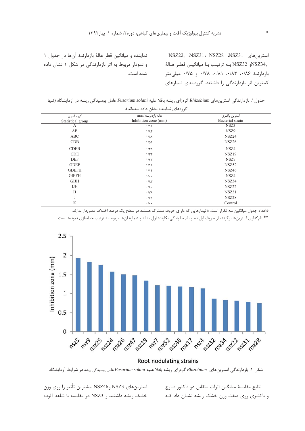استرینهای NSZ22, NSZ31، NSZ28 ،NSZ31 و NSZ32 به ترتيب با ميانگين قطر هـالهٔ NSZ34,  $i \in \{1, 2, \ldots\}$ بازدارندهٔ ۱۸۶ $\cdot$ ، ۱۸۳ $\cdot\cdot\cdot$  ۱۸۸ $\cdot\cdot\cdot$  و ۱۷۵ $\cdot\cdot\cdot$  میلی کمترین اثر بازدارندگی را داشتند. گروهبندی تیمارهای

نماینده و میانگین قطر هالهٔ بازدارندهٔ آنها در جدول ۱ و نمودار مربوط به اثر بازدارندگی در شکل ۱ نشان داده شده است.

جدول ۱. بازدارندگی استرینهای Rhizobium گرهزای ریشه باقلا علیه Fusarium solani عامل پوسیدگی ریشه در آزمایشگاه (تنها

| گروههای نماینده نشان داده شدهاند). |                                            |                                   |
|------------------------------------|--------------------------------------------|-----------------------------------|
| گروه آماري<br>Statistical group    | هاله بازدارنده(mm)<br>Inhibition zone (mm) | استرين باكترى<br>Bacterial strain |
| A                                  | 1/95                                       | NSZ3                              |
| AB                                 | $1/\lambda$ ۳                              | NSZ9                              |
| ABC                                | $1/\Delta\Lambda$                          | NSZ24                             |
| CDB                                | $1/\Delta$                                 | NSZ26                             |
| <b>CDEB</b>                        | $1/f\Lambda$                               | NSZ4                              |
| <b>CDE</b>                         | 1/TT                                       | NSZ19                             |
| <b>DEF</b>                         | 1/57                                       | NSZ7                              |
| <b>GDEF</b>                        | 1/1 <sub>A</sub>                           | NSZ52                             |
| <b>GDEFH</b>                       | 1/15                                       | NSZ46                             |
| <b>GIEFH</b>                       | $\sqrt{\cdot \cdot}$                       | NSZ4                              |
| <b>GIJH</b>                        | $\cdot/\lambda\tau$                        | NSZ34                             |
| IJH                                | $\cdot/\lambda$ .                          | NSZ22                             |
| $_{\text{IJ}}$                     | $\cdot$ /Y $\wedge$                        | NSZ31                             |
| J                                  | $\cdot$ / Y $\Delta$                       | NSZ28                             |
| K                                  | $\cdot$ / $\cdot$ $\cdot$                  | Control                           |

هاعداد جدول میانگین سه تکرار است. #تیمارهایی که دارای حروف مشترک هستند در سطح یک درصد اختلاف معنیدار ندارند. \*\* نامگذاری استرینها برگرفته از حروف اول نام و نام خانوادگی نگارندهٔ اول مقاله و شمارهٔ آنها مربوط به ترتیب جداسازی نمونهها است.



شکل ۱. بازدارندگی استرینهای Rhizobium گرهزای ریشه باقلا علیه Fusarium solani عامل پوسیدگی ریشه در شرایط آزمایشگاه

استرينهاي NSZ46 وNSZ46 بيشترين تأثير را روى وزن خشک ریشه داشتند و NSZ3 در مقایسه با شاهد آلوده

نتايج مقايسهٔ ميانگين اثرات متقابل دو فاكتور قـارچ و باکتـری روی صفت وزن خشک ریشه نشـان داد کـه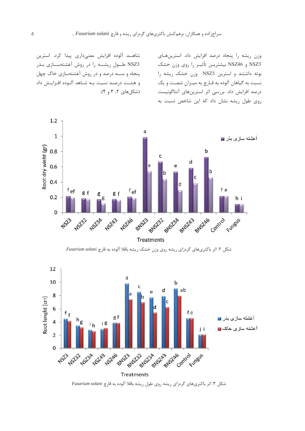شاهــد آلوده افزايش معنىدارى پيدا كرد. استرين NSZ3 طــول ريشـــه را در روش آغشتهســـازى بـذر پنجاه و ســه درصد و در روش آغشتهسازی خاک چهل و هشـت درصـد نسبت بـه شـاهد آلـوده افـزايـش داد (شكل های ۲، ۳ و ۴). وزن ريشه را پنجاه درصد افزايش داد. استرينهاي NSZ3 و NSZ46 بيشتريـن تأثيـر را روى وزن خشک بوته داشتند و استرین NSZ3 وزن خشک ریشه را نسبت به گیاهان آلوده به قـارچ به میـزان شصـت و یک درصد افزایش داد. بررسی اثر استرینهای آنتاگونیست روی طول ریشه نشان داد که این شاخص نسبت به



شکل ۲. اثر باکتریهای گرهزای ریشه روی وزن خشک ریشه باقلا آلوده به قارچ Fusarium solani



شکل ۳. اثر باکتریهای گرهزای ریشه روی طول ریشه باقلا آلوده به قارچ Fusarium solani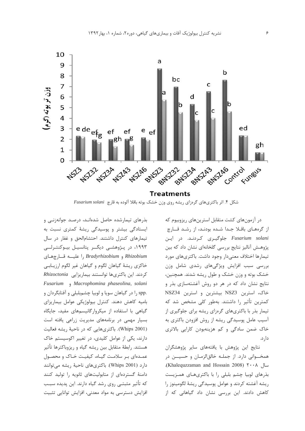

شکل ۴. اثر باکتریهای گرهزای ریشه روی وزن خشک بوته باقلا آلوده به قارچ Fusarium solani

در آزمونهای کشت متقابل استرینهای ریزوبیوم که از گرههای باقلا جدا شده بودند، از رشد قارچ Fusarium solani جلوگیری کردنـد. در ایـن پژوهـش آناليز نتايج بررسي گلخانهاي نشان داد كه بين تیمارها اختلاف معنی دار وجود داشت. باکتریهای مورد بررسی سبب افزایش ویژگیهای رشدی شامل وزن خشک بوته و وزن خشک و طول ریشه شدند. همچنین، نتایج نشان داد که در هر دو روش آغشتهسازی بذر و خاک، استرین NSZ3 بیشترین و استرین NSZ34 کمترین تأثیر را داشتند. بهطور کلی مشخص شد که تیمار بذر با باکتریهای گرهزای ریشه برای جلوگیری از آسیب عامل پوسیدگی ریشه از روش افزودن باکتری به خاک ضمن سادگی و کم هزینهبودن کارایی بالاتری دار د.

نتایج این پژوهش با یافتههای سایر پژوهشگران همخــواني دارد. از جملــه خالق|لزمــان و حسيـــن در سال ۲۰۰۸ (Khalequzzaman and Hossain 2008) بذرهای لوبیا چشم بلبلی را با باکتریهای همزیست ریشه آغشته کردند و عوامل یوسیدگی ریشهٔ لگومینوز را کاهش دادند. این بررسی نشان داد گیاهانی که از

بذرهای تیمارشده حاصل شدهانـد، درصـد جوانهزنـی و ایستادگی بیشتر و پوسیدگی ریشهٔ کمتری نسبت به تیمارهای کنترل داشتند. احتشام الحق و غفار در سال ۱۹۹۳، در پژوهشی دیگـر پتانسیـل بیـوکنتـرلــی Rhizobium و Bradyrhizobium را علیــه قــارچهـای خاكزي ريشهٔ گياهان لگوم و گياهان غير لگوم ارزيـابـي كردند. اين باكترىها توانستند بيماريزايي Rhizoctonia Fusarium , Macrophomina phaseolina, solani .spp را در گیاهان سویا و لوبیا چشمېلبلی و آفتابگردان و بامیه کاهش دهند. کنترل بیولوژیکی عوامل بیماریزای گیاهی با استفاده از میکروارگانیسمهای مفید، جایگاه بسیار مهمی در برنامههای مدیریت زراعی یافته است (Whips 2001). باكترىهايي كه در ناحية ريشه فعاليت دارند، یکی از عوامل کلیدی، در تغییر اکوسیستم خاک هستند. رابطهٔ متقابل بین ریشه گیاه و ریزوباکترها تأثیر عمدهای بر سلامت گیاه، کیفیت خاک و محصول دارد (Whips 2001). باكترىهاى ناحيهٔ ريشه مىتوانند دامنهٔ گستردهای از متابولیتهای ثانویه را تولید کنند که تأثیر مثبتے، روی رشد گیاه دارند. این پدیده سبب افزایش دسترسی به مواد معدنی، افزایش توانایی تثبیت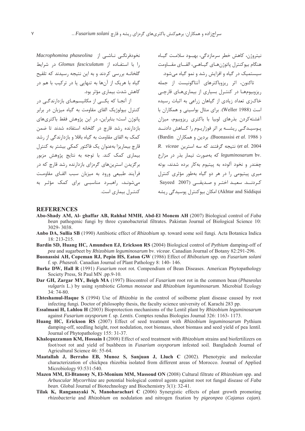نخودفرنگے ناشے |; Macrophomina phaseolina را با استفـاده از Glomus fasciculatum در شرایط گلخانـه بررسی کردند و به این نتیجه رسیدند که تلقیح گیاه با هریک از آنها به تنهایی یا در ترکیب با هم در كاهش شدت بيماري مؤثر بود.

از آنجـا که یکــی از مکانیسمهـای بازدارندگـی در کنترل بیولوژیک القای مقاومت به گیاه میزبان در برابر یاتوژن است؛ بنابراین، در این پژوهش فقط باکتریهای بازدارنده رشد قارچ در گلخانه استفاده شدند تا ضمن کمک به القای مقاومت به گیاه باقلا و بازدارندگی از رشد قارچ بیماریزا بهعنوان یک فاکتور کمکی بیشتر به کنترل بیماری کمک کند. با توجه به نتایج پژوهش مزبور برگزیدن استرینهای گروزای بازدارنده رشد قارچ که در فرآیند طبیعی ورود به میزبان سبب القبای مقاومت می شونـد، راهبـرد مناسبـی برای کمک مؤثـر به

نيتروژن، كاهش خطر سرمازدگي، بهبيود سلامت گيـاه هنگام بيوكنترل پاتوژن هـاي گيــاهــي، القـــاي مقـــاومت سیستمیک در گیاه و افزایش رشد و نمو گیاه میشود.

.<br>تاکنون، اثر ریزوباکترهای آنتاگونیست از جمله ریزوبیومها در کنتـرل بسیاری از بیماریهـای قارچـی خاک;ی تعداد زیادی از گیاهان زراعی به اثبات رسیده است (Weller 1988). برای مثال بواسینی و همکاران با .<br>آغشته کردن بذرهای لوبیا با باکتری ریزوبیوم، میزان یـوسیـدگـی ریشــه بر اثر فوزاریـوم را کــاهش دادنــد (Buonassisi et al. 1986). بردين و همكاران (Bardin) R. viceae نتيجه گرفتند كه سه استرين (et al. 2004 leguminosarum bv. كه بهصورت تيمار بذر در مزارع .<br>چغند<sub>ر و</sub> نخود آلوده به پیتیوم بهکا<sub>ر</sub> برده شدند، بوته میری پیتیومی را در هر دو گیاه بهطور مؤثری کنترل کے دنــد. سعیـد اختـی و صـدیقــی (Sayeed 2007 Akhtar and Siddiqui) امکان بیوکنترل پوسیدگی ریشه کنتـرل بیماری است.

#### **REFERENCES**

- Abo-Shady AM, Al- ghaffar AB, Rahhal MMH, Abd-El Monem AH (2007) Biological control of Faba bean pathogenic fungi by three cyanobacterial filtrates. Pakistan Journal of Biological Science 10: 3029-3038.
- Anbo DA, Sullia SB (1990) Antibiotic effect of Rhizobium sp. toward some soil fungi. Acta Botanica Indica  $18: 213 - 215$ .
- Bardin SD, Huang HC, Amundsen EJ, Erickson RS (2004) Biological control of *Pythium* damping-off of pea and sugarbeet by Rhizobium leguminosarum by. viceae. Canadian Journal of Botany 82:291-296.
- Buonassisi AH, Copeman RJ, Pepin HS, Eaton GW (1986) Effect of Rhibozium spp. on Fusarium solani f. sp. Phaseoli. Canadian Journal of Plant Pathology 8: 140-146.
- Burke DW, Hall R (1991) Fusarium root rot. Compendium of Bean Diseases. American Phytopathology Society Press, St Paul MN .pp.9-10.
- Dar GH, Zargar MY, Beigh MA (1997) Biocontrol of *Fusarium* root rot in the common bean (*Phaseolus* vulgaris L.) by using symbiotic Glomus mosseae and Rhizobium leguminosarum. Microbial Ecology  $34:74-80.$
- **Ehteshamul-Haque S** (1994) Use of *Rhizobia* in the control of soilborne plant disease caused by root infecting fungi. Doctor of philosophy thesis, the faculty science university of. Karachi 283 pp.
- Essalmani H, Lahlou H (2003) Bioprotection mechanisms of the Lentil plant by Rhizobium leguminosarum against Fusarium oxysporum f. sp. Lentis. Comptes rendus Biologies Journal 326: 1163-1173.
- Huang HC, Erickson RS (2007) Effect of seed treatment with Rhizobium leguminosarum Pythium damping-off, seedling height, root nodulation, root biomass, shoot biomass and seed yield of pea lentil. Journal of Phytopathology 155: 31-37.
- Khaleguzzaman KM, Hossain I (2008) Effect of seed treatment with *Rhizobium* strains and biofertilizers on foot/root rot and vield of bushbeen in Fusarium oxysporum infested soil. Bangladesh Journal of Agricultural Science 46: 55-64.
- Maatallah J, Berraho EB, Munoz S, Sanjuan J, Lluch C (2002). Phenotypic and molecular characterization of chickpea rhizobia isolated from different areas of Morocco. Journal of Applied Microbiology 93:531-540.
- Mazen MM, El-Btanony N, El-Monium MM, Massoud ON (2008) Cultural filtrate of Rhizobium spp. and Arbuscular Mycorrhiza are potential biological control agents against root rot fungal disease of Faba bean. Global Journal of Biotechnology and Biochemistry 3(1): 32-41.
- Tilak K, Ranganayaki N, Manoharachari C (2006) Synergistic effects of plant growth promoting rhizobacteria and Rhizobium on nodulation and nitrogen fixation by pigeonpea (Cajanus cajan).